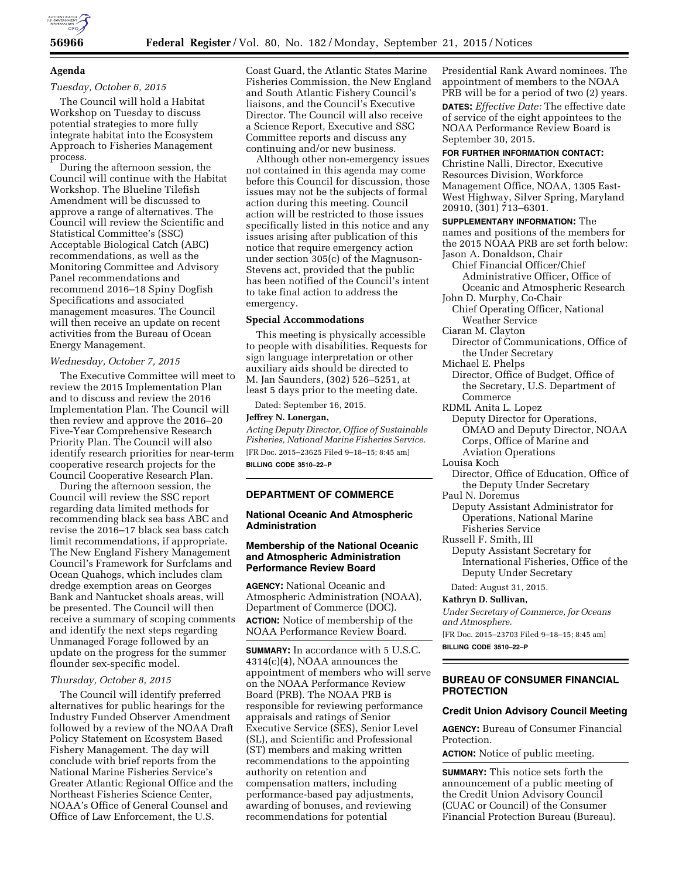

# **Agenda**

# *Tuesday, October 6, 2015*

The Council will hold a Habitat Workshop on Tuesday to discuss potential strategies to more fully integrate habitat into the Ecosystem Approach to Fisheries Management process.

During the afternoon session, the Council will continue with the Habitat Workshop. The Blueline Tilefish Amendment will be discussed to approve a range of alternatives. The Council will review the Scientific and Statistical Committee's (SSC) Acceptable Biological Catch (ABC) recommendations, as well as the Monitoring Committee and Advisory Panel recommendations and recommend 2016–18 Spiny Dogfish Specifications and associated management measures. The Council will then receive an update on recent activities from the Bureau of Ocean Energy Management.

#### *Wednesday, October 7, 2015*

The Executive Committee will meet to review the 2015 Implementation Plan and to discuss and review the 2016 Implementation Plan. The Council will then review and approve the 2016–20 Five-Year Comprehensive Research Priority Plan. The Council will also identify research priorities for near-term cooperative research projects for the Council Cooperative Research Plan.

During the afternoon session, the Council will review the SSC report regarding data limited methods for recommending black sea bass ABC and revise the 2016–17 black sea bass catch limit recommendations, if appropriate. The New England Fishery Management Council's Framework for Surfclams and Ocean Quahogs, which includes clam dredge exemption areas on Georges Bank and Nantucket shoals areas, will be presented. The Council will then receive a summary of scoping comments and identify the next steps regarding Unmanaged Forage followed by an update on the progress for the summer flounder sex-specific model.

# *Thursday, October 8, 2015*

The Council will identify preferred alternatives for public hearings for the Industry Funded Observer Amendment followed by a review of the NOAA Draft Policy Statement on Ecosystem Based Fishery Management. The day will conclude with brief reports from the National Marine Fisheries Service's Greater Atlantic Regional Office and the Northeast Fisheries Science Center, NOAA's Office of General Counsel and Office of Law Enforcement, the U.S.

Coast Guard, the Atlantic States Marine Fisheries Commission, the New England and South Atlantic Fishery Council's liaisons, and the Council's Executive Director. The Council will also receive a Science Report, Executive and SSC Committee reports and discuss any continuing and/or new business.

Although other non-emergency issues not contained in this agenda may come before this Council for discussion, those issues may not be the subjects of formal action during this meeting. Council action will be restricted to those issues specifically listed in this notice and any issues arising after publication of this notice that require emergency action under section 305(c) of the Magnuson-Stevens act, provided that the public has been notified of the Council's intent to take final action to address the emergency.

#### **Special Accommodations**

This meeting is physically accessible to people with disabilities. Requests for sign language interpretation or other auxiliary aids should be directed to M. Jan Saunders, (302) 526–5251, at least 5 days prior to the meeting date.

Dated: September 16, 2015.

#### **Jeffrey N. Lonergan,**

*Acting Deputy Director, Office of Sustainable Fisheries, National Marine Fisheries Service.*  [FR Doc. 2015–23625 Filed 9–18–15; 8:45 am] **BILLING CODE 3510–22–P** 

# **DEPARTMENT OF COMMERCE**

# **National Oceanic And Atmospheric Administration**

# **Membership of the National Oceanic and Atmospheric Administration Performance Review Board**

**AGENCY:** National Oceanic and Atmospheric Administration (NOAA), Department of Commerce (DOC). **ACTION:** Notice of membership of the NOAA Performance Review Board.

**SUMMARY:** In accordance with 5 U.S.C. 4314(c)(4), NOAA announces the appointment of members who will serve on the NOAA Performance Review Board (PRB). The NOAA PRB is responsible for reviewing performance appraisals and ratings of Senior Executive Service (SES), Senior Level (SL), and Scientific and Professional (ST) members and making written recommendations to the appointing authority on retention and compensation matters, including performance-based pay adjustments, awarding of bonuses, and reviewing recommendations for potential

Presidential Rank Award nominees. The appointment of members to the NOAA PRB will be for a period of two (2) years.

**DATES:** *Effective Date:* The effective date of service of the eight appointees to the NOAA Performance Review Board is September 30, 2015.

# **FOR FURTHER INFORMATION CONTACT:**

Christine Nalli, Director, Executive Resources Division, Workforce Management Office, NOAA, 1305 East-West Highway, Silver Spring, Maryland 20910, (301) 713–6301.

**SUPPLEMENTARY INFORMATION:** The names and positions of the members for the 2015 NOAA PRB are set forth below: Jason A. Donaldson, Chair Chief Financial Officer/Chief Administrative Officer, Office of Oceanic and Atmospheric Research John D. Murphy, Co-Chair Chief Operating Officer, National Weather Service Ciaran M. Clayton Director of Communications, Office of the Under Secretary Michael E. Phelps Director, Office of Budget, Office of the Secretary, U.S. Department of Commerce RDML Anita L. Lopez Deputy Director for Operations, OMAO and Deputy Director, NOAA Corps, Office of Marine and Aviation Operations Louisa Koch Director, Office of Education, Office of

- the Deputy Under Secretary Paul N. Doremus
- Deputy Assistant Administrator for Operations, National Marine Fisheries Service
- Russell F. Smith, III
	- Deputy Assistant Secretary for International Fisheries, Office of the Deputy Under Secretary

Dated: August 31, 2015.

#### **Kathryn D. Sullivan,**

*Under Secretary of Commerce, for Oceans and Atmosphere.* 

[FR Doc. 2015–23703 Filed 9–18–15; 8:45 am]

**BILLING CODE 3510–22–P** 

# **BUREAU OF CONSUMER FINANCIAL PROTECTION**

#### **Credit Union Advisory Council Meeting**

**AGENCY:** Bureau of Consumer Financial Protection.

**ACTION:** Notice of public meeting.

**SUMMARY:** This notice sets forth the announcement of a public meeting of the Credit Union Advisory Council (CUAC or Council) of the Consumer Financial Protection Bureau (Bureau).